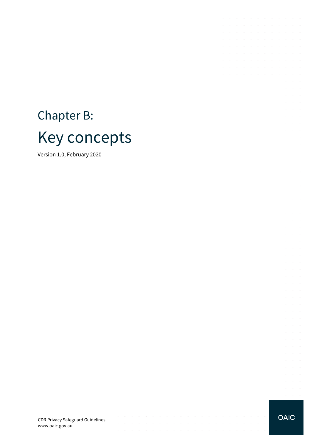# Chapter B: Key concepts

Version 1.0, February 2020

CDR Privacy Safeguard Guidelines www.oaic.gov.au

 $\mathcal{A}^{\mathcal{A}}$  , and  $\mathcal{A}^{\mathcal{A}}$  , and  $\mathcal{A}^{\mathcal{A}}$  , and  $\mathcal{A}^{\mathcal{A}}$ 

contract and state

 $\mathcal{L}$ 

 $\Delta\sim 100$ 

 $\sim$ 

 $\sim$  $\sim$ 

والتواصل والمتعارف والمتناوب والمتناوب والمتناوب والمتناوب والمتناوب والمتناوب والمتناوب

 $\mathcal{A}$  . The second contribution of the second contribution of  $\mathcal{A}$ 

 $\sim$  $\sim$   $\sim$  $\sim$   $\sim$ 

 $\bar{z}$ 

 $\sim$ 

 $\sim$ 

 $\sim$  $\sim$   $\bar{z}$ 

 $\sim$ 

**OAIC** 

the contract of the contract of the contract of

**Contractor** 

 $\mathcal{L}^{\text{max}}$ 

 $\mathcal{L}^{\text{max}}$ 

 $\mathcal{A}^{\mathcal{A}}$  and  $\mathcal{A}^{\mathcal{A}}$  and  $\mathcal{A}^{\mathcal{A}}$  $\mathcal{L}^{\text{max}}$  and  $\mathcal{L}^{\text{max}}$  $\mathcal{L}$  $\sim$  $\sim$  $\alpha = \alpha + \beta$ **Contractor**  $\sim$  $\Delta\sim 10^{-1}$  $\alpha = \alpha + \beta$ **Service** State  $\mathcal{L}^{\mathcal{L}}$  $\sim 10^{-1}$  $\bar{z}$  $\Delta\phi=2\pi\pi/3$  $\mathcal{L}=\mathcal{L}=\mathcal{L}$  $\Delta\phi$  and  $\Delta\phi$  and  $\Delta\phi$  $\Delta\phi$  and  $\Delta\phi$  and  $\Delta\phi$ and the conand the control  $\mathcal{L}^{\text{max}}$  and  $\mathcal{L}^{\text{max}}$  $\mathcal{L}^{\mathcal{L}}$  $\sim$   $\Delta\phi$  and  $\Delta\phi$  and  $\Delta\phi$  $\alpha = \alpha = 1$  $\mathcal{L}^{\mathcal{L}}$  $\sim$  $\Delta\phi$  and  $\Delta\phi$  and  $\Delta\phi$  $\mathcal{L}^{\text{max}}$  and  $\mathcal{L}^{\text{max}}$ à. **Service** State  $\Delta \sim 10^{11}$  m  $^{-1}$  $\bar{z}$  $\bar{z}$  $\bar{z}$  $\Delta\phi$  and  $\Delta\phi$  $\Delta \sim 10^{-10}$  km  $^{-1}$  $\bar{z}$  $\sim$  $\Delta\phi$  and  $\Delta\phi$  and  $\Delta\phi$ **Service** State  $\mathcal{L}$  $\mathcal{L}_{\mathcal{A}}$  $\sim$  $\alpha = \alpha + \beta$  $\mathcal{L}^{\text{max}}$  , and  $\mathcal{L}^{\text{max}}$  $\sim$  $\alpha$  and  $\alpha$  $\Delta\phi$  and  $\Delta\phi$  and  $\Delta\phi$  and  $\Delta\phi$  and  $\Delta\phi$ **Service State**  $\Delta\phi$  and  $\Delta\phi$  $\alpha$  ,  $\alpha$  ,  $\alpha$ 

 $\sim$ 

 $\sim$ 

 $\sim 10^{-1}$ 

 $\sim$ 

 $\mathcal{L}$ and a state  $\Delta\phi$  and  $\Delta\phi$  and  $\Delta\phi$  $\mathcal{L}^{\pm}$  $\bar{\gamma}$  $\Delta\sim 10^{11}$  m  $^{-1}$  $\mathcal{L}^{\text{max}}$  and  $\mathcal{L}^{\text{max}}$ 

فالمتواطئ والمتعارض والمتعارض والمتعارض والمتعارض  $\mathcal{L}^{\mathcal{A}}$  . The set of the set of the set of the set of the set of  $\mathcal{L}^{\mathcal{A}}$ 

**Contract Contract** 

the control of the control of the

the control of the control of the

 $\mathcal{L}^{\mathcal{A}}$  . The contribution of the contribution of the contribution of  $\mathcal{L}^{\mathcal{A}}$ and the contract of the contract of

 $\mathcal{A}$  . The contribution of the contribution of the contribution of  $\mathcal{A}$ 

 $\sim$  $\epsilon$ 

 $\mathcal{L}_{\mathcal{A}}$ 

 $\epsilon$  $\sim$  $\sim$ 

V.

V.  $\sim$ 

i.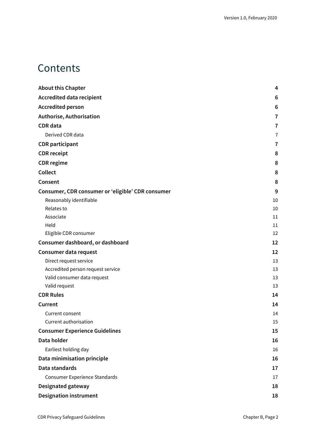# **Contents**

| <b>About this Chapter</b>                         | 4              |
|---------------------------------------------------|----------------|
| <b>Accredited data recipient</b>                  | 6              |
| <b>Accredited person</b>                          | 6              |
| Authorise, Authorisation                          | 7              |
| <b>CDR</b> data                                   | 7              |
| Derived CDR data                                  | $\overline{7}$ |
| <b>CDR</b> participant                            | 7              |
| <b>CDR</b> receipt                                | 8              |
| <b>CDR</b> regime                                 | 8              |
| Collect                                           | 8              |
| Consent                                           | 8              |
| Consumer, CDR consumer or 'eligible' CDR consumer | 9              |
| Reasonably identifiable                           | 10             |
| Relates to                                        | 10             |
| Associate                                         | 11             |
| Held                                              | 11             |
| Eligible CDR consumer                             | 12             |
| Consumer dashboard, or dashboard                  | 12             |
| Consumer data request                             | 12             |
| Direct request service                            | 13             |
| Accredited person request service                 | 13             |
| Valid consumer data request                       | 13             |
| Valid request                                     | 13             |
| <b>CDR Rules</b>                                  | 14             |
| Current                                           | 14             |
| Current consent                                   | 14             |
| Current authorisation                             | 15             |
| <b>Consumer Experience Guidelines</b>             | 15             |
| Data holder                                       | 16             |
| Earliest holding day                              | 16             |
| Data minimisation principle                       | 16             |
| Data standards                                    | 17             |
| <b>Consumer Experience Standards</b>              | 17             |
| Designated gateway                                | 18             |
| <b>Designation instrument</b>                     | 18             |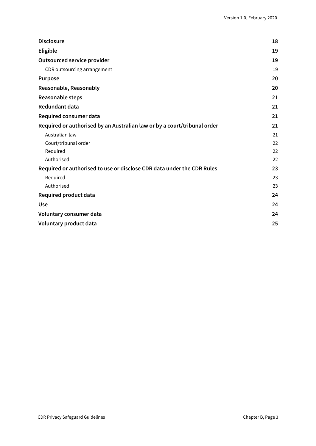| <b>Disclosure</b>                                                        | 18 |
|--------------------------------------------------------------------------|----|
| <b>Eligible</b>                                                          | 19 |
| <b>Outsourced service provider</b>                                       | 19 |
| CDR outsourcing arrangement                                              | 19 |
| <b>Purpose</b>                                                           | 20 |
| Reasonable, Reasonably                                                   | 20 |
| Reasonable steps                                                         | 21 |
| <b>Redundant data</b>                                                    | 21 |
| Required consumer data                                                   | 21 |
| Required or authorised by an Australian law or by a court/tribunal order | 21 |
| Australian law                                                           | 21 |
| Court/tribunal order                                                     | 22 |
| Required                                                                 | 22 |
| Authorised                                                               | 22 |
| Required or authorised to use or disclose CDR data under the CDR Rules   | 23 |
| Required                                                                 | 23 |
| Authorised                                                               | 23 |
| Required product data                                                    | 24 |
| <b>Use</b>                                                               | 24 |
| Voluntary consumer data                                                  | 24 |
| Voluntary product data                                                   | 25 |
|                                                                          |    |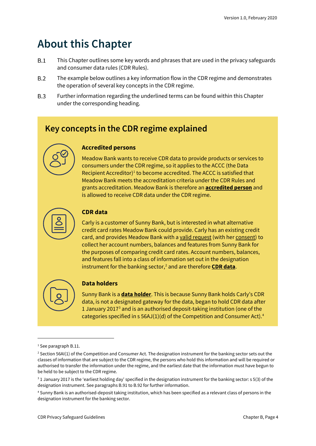# <span id="page-3-0"></span>**About this Chapter**

- $B.1$ This Chapter outlines some key words and phrases that are used in the privacy safeguards and consumer data rules (CDR Rules).
- $B.2$ The example below outlines a key information flow in the CDR regime and demonstrates the operation of several key concepts in the CDR regime.
- $B.3$ Further information regarding the underlined terms can be found within this Chapter under the corresponding heading.

## **Key concepts in the CDR regime explained**



Meadow Bank wants to receive CDR data to provide products or services to consumers under the CDR regime, so it applies to the ACCC (the Data Recipient Accreditor) [1](#page-3-1) to become accredited. The ACCC is satisfied that Meadow Bank meets the accreditation criteria under the CDR Rules and grants accreditation. Meadow Bank is therefore an **accredited person** and is allowed to receive CDR data under the CDR regime.



#### **CDR data**

Carly is a customer of Sunny Bank, but is interested in what alternative credit card rates Meadow Bank could provide. Carly has an existing credit card, and provides Meadow Bank with a valid request (with her consent) to collect her account numbers, balances and features from Sunny Bank for the purposes of comparing credit card rates. Account numbers, balances, and features fall into a class of information set out in the designation instrument for the banking sector,<sup>[2](#page-3-2)</sup> and are therefore **CDR data**.



#### **Data holders**

Sunny Bank is a **data holder**. This is because Sunny Bank holds Carly's CDR data, is not a designated gateway for the data, began to hold CDR data after 1 January 2017 $3$  and is an authorised deposit-taking institution (one of the categories specified in s  $56$ AJ(1)(d) of the Competition and Consumer Act).<sup>[4](#page-3-4)</sup>

<span id="page-3-1"></span><sup>1</sup> See paragraph B.11.

<span id="page-3-2"></span><sup>&</sup>lt;sup>2</sup> Section 56AI(1) of the Competition and Consumer Act. The designation instrument for the banking sector sets out the classes of information that are subject to the CDR regime, the persons who hold this information and will be required or authorised to transfer the information under the regime, and the earliest date that the information must have begun to be held to be subject to the CDR regime.

<span id="page-3-3"></span><sup>&</sup>lt;sup>3</sup> 1 January 2017 is the 'earliest holding day' specified in the designation instrument for the banking sector: s 5(3) of the designation instrument. See paragraphs B.91 to B.92 for further information.

<span id="page-3-4"></span><sup>4</sup> Sunny Bank is an authorised-deposit taking institution, which has been specified as a relevant class of persons in the designation instrument for the banking sector.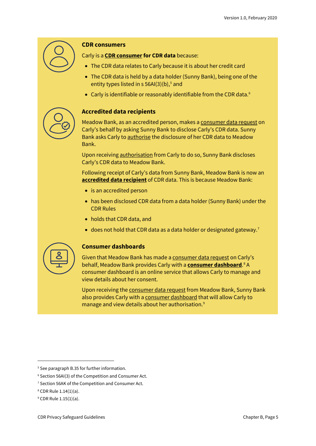

#### **CDR consumers**

Carly is a **CDR consumer for CDR data** because:

- The CDR data relates to Carly because it is about her credit card
- The CDR data is held by a data holder (Sunny Bank), being one of the entity types listed in  $s$  [5](#page-4-0)6AI(3)(b),<sup>5</sup> and
- Carly is identifiable or reasonably identifiable from the CDR data.<sup>[6](#page-4-1)</sup>

#### **Accredited data recipients**

Meadow Bank, as an accredited person, makes a consumer data request on Carly's behalf by asking Sunny Bank to disclose Carly's CDR data. Sunny Bank asks Carly to authorise the disclosure of her CDR data to Meadow Bank.

Upon receiving authorisation from Carly to do so, Sunny Bank discloses Carly's CDR data to Meadow Bank.

Following receipt of Carly's data from Sunny Bank, Meadow Bank is now an **accredited data recipient** of CDR data. This is because Meadow Bank:

- is an accredited person
- has been disclosed CDR data from a data holder (Sunny Bank) under the CDR Rules
- holds that CDR data, and
- does not hold that CDR data as a data holder or designated gateway.<sup>[7](#page-4-2)</sup>



#### **Consumer dashboards**

Given that Meadow Bank has made a consumer data request on Carly's behalf, Meadow Bank provides Carly with a **consumer dashboard**. [8](#page-4-3) A consumer dashboard is an online service that allows Carly to manage and view details about her consent.

Upon receiving the consumer data request from Meadow Bank, Sunny Bank also provides Carly with a consumer dashboard that will allow Carly to manage and view details about her authorisation.<sup>[9](#page-4-4)</sup>

<span id="page-4-0"></span><sup>&</sup>lt;sup>5</sup> See paragraph B.35 for further information.

<span id="page-4-1"></span><sup>6</sup> Section 56AI(3) of the Competition and Consumer Act.

<span id="page-4-2"></span><sup>&</sup>lt;sup>7</sup> Section 56AK of the Competition and Consumer Act.

<span id="page-4-3"></span><sup>8</sup> CDR Rule 1.14(1)(a).

<span id="page-4-4"></span><sup>9</sup> CDR Rule 1.15(1)(a).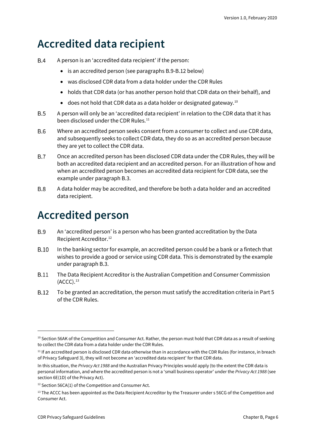# <span id="page-5-0"></span>**Accredited data recipient**

- $B.4$ A person is an 'accredited data recipient' if the person:
	- is an accredited person (see paragraphs B.9-B.12 below)
	- was disclosed CDR data from a data holder under the CDR Rules
	- holds that CDR data (or has another person hold that CDR data on their behalf), and
	- does not hold that CDR data as a data holder or designated gateway.<sup>[10](#page-5-2)</sup>
- $B.5$ A person will only be an 'accredited data recipient' in relation to the CDR data that it has been disclosed under the CDR Rules. [11](#page-5-3)
- **B.6** Where an accredited person seeks consent from a consumer to collect and use CDR data, and subsequently seeks to collect CDR data, they do so as an accredited person because they are yet to collect the CDR data.
- $B.7$ Once an accredited person has been disclosed CDR data under the CDR Rules, they will be both an accredited data recipient and an accredited person. For an illustration of how and when an accredited person becomes an accredited data recipient for CDR data, see the example under paragraph B.3.
- **B.8** A data holder may be accredited, and therefore be both a data holder and an accredited data recipient.

# <span id="page-5-1"></span>**Accredited person**

- **B.9** An 'accredited person' is a person who has been granted accreditation by the Data Recipient Accreditor. [12](#page-5-4)
- $B.10$ In the banking sector for example, an accredited person could be a bank or a fintech that wishes to provide a good or service using CDR data. This is demonstrated by the example under paragraph B.3.
- **B.11** The Data Recipient Accreditor is the Australian Competition and Consumer Commission  $(ACCC).<sup>13</sup>$  $(ACCC).<sup>13</sup>$  $(ACCC).<sup>13</sup>$
- **B.12** To be granted an accreditation, the person must satisfy the accreditation criteria in Part 5 of the CDR Rules.

<span id="page-5-2"></span><sup>&</sup>lt;sup>10</sup> Section 56AK of the Competition and Consumer Act. Rather, the person must hold that CDR data as a result of seeking to collect the CDR data from a data holder under the CDR Rules.

<span id="page-5-3"></span> $11$  If an accredited person is disclosed CDR data otherwise than in accordance with the CDR Rules (for instance, in breach of Privacy Safeguard 3), they will not become an 'accredited data recipient' for that CDR data.

In this situation, the *Privacy Act 1988* and the Australian Privacy Principles would apply (to the extent the CDR data is personal information, and where the accredited person is not a 'small business operator' under the *Privacy Act 1988* (see section 6E(1D) of the Privacy Act).

<span id="page-5-4"></span><sup>&</sup>lt;sup>12</sup> Section 56CA(1) of the Competition and Consumer Act.

<span id="page-5-5"></span> $13$  The ACCC has been appointed as the Data Recipient Accreditor by the Treasurer under s 56CG of the Competition and Consumer Act.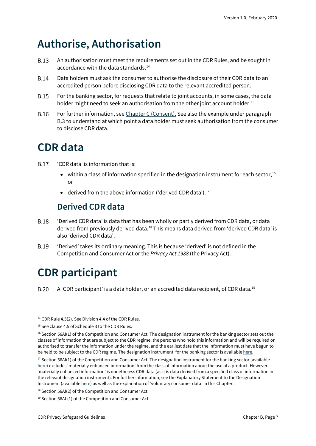# <span id="page-6-0"></span>**Authorise, Authorisation**

- **B.13** An authorisation must meet the requirements set out in the CDR Rules, and be sought in accordance with the data standards. [14](#page-6-4)
- **B.14** Data holders must ask the consumer to authorise the disclosure of their CDR data to an accredited person before disclosing CDR data to the relevant accredited person.
- **B.15** For the banking sector, for requests that relate to joint accounts, in some cases, the data holder might need to seek an authorisation from the other joint account holder.<sup>[15](#page-6-5)</sup>
- **B.16** For further information, see [Chapter C \(Consent\).](https://www.oaic.gov.au/consumer-data-right/cdr-privacy-safeguard-guidelines/chapter-c-consent-the-basis-for-collecting-and-using-cdr-data) See also the example under paragraph B.3 to understand at which point a data holder must seek authorisation from the consumer to disclose CDR data.

# <span id="page-6-1"></span>**CDR data**

- 'CDR data' is information that is: **B.17** 
	- within a class of information specified in the designation instrument for each sector,  $16$ or
	- derived from the above information ('derived CDR data').<sup>[17](#page-6-7)</sup>

## **Derived CDR data**

- <span id="page-6-2"></span>**B.18** 'Derived CDR data' is data that has been wholly or partly derived from CDR data, or data derived from previously derived data.<sup>[18](#page-6-8)</sup> This means data derived from 'derived CDR data' is also 'derived CDR data'.
- **B.19** 'Derived' takes its ordinary meaning. This is because 'derived' is not defined in the Competition and Consumer Act or the *Privacy Act 1988* (the Privacy Act).

# <span id="page-6-3"></span>**CDR participant**

**B.20** A 'CDR participant' is a data holder, or an accredited data recipient, of CDR data. $^{19}$  $^{19}$  $^{19}$ 

<span id="page-6-4"></span><sup>&</sup>lt;sup>14</sup> CDR Rule 4.5(2). See Division 4.4 of the CDR Rules.

<span id="page-6-5"></span><sup>&</sup>lt;sup>15</sup> See clause 4.5 of Schedule 3 to the CDR Rules.

<span id="page-6-6"></span> $16$  Section 56AI(1) of the Competition and Consumer Act. The designation instrument for the banking sector sets out the classes of information that are subject to the CDR regime, the persons who hold this information and will be required or authorised to transfer the information under the regime, and the earliest date that the information must have begun to be held to be subject to the CDR regime. The designation instrument for the banking sector is availabl[e here.](https://www.legislation.gov.au/Details/F2019L01153)

<span id="page-6-7"></span> $17$  Section 56AI(1) of the Competition and Consumer Act. The designation instrument for the banking sector (available [here\)](https://www.legislation.gov.au/Details/F2019L01153) excludes 'materially enhanced information' from the class of information about the use of a product. However, 'materially enhanced information' is nonetheless CDR data (as it is data derived from a specified class of information in the relevant designation instrument). For further information, see the Explanatory Statement to the Designation Instrument (availabl[e here\)](https://www.legislation.gov.au/Details/F2019L01153/Explanatory%20Statement/Text) as well as the explanation of 'voluntary consumer data' in this Chapter.

<span id="page-6-8"></span><sup>18</sup> Section 56AI(2) of the Competition and Consumer Act.

<span id="page-6-9"></span><sup>19</sup> Section 56AL(1) of the Competition and Consumer Act.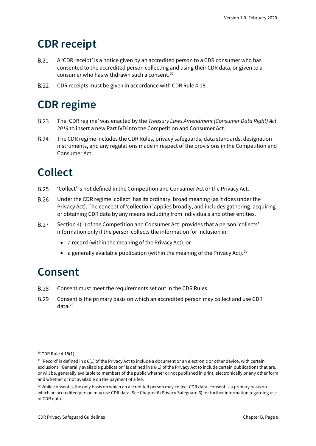# <span id="page-7-0"></span>**CDR receipt**

- **B.21** A 'CDR receipt' is a notice given by an accredited person to a CDR consumer who has consented to the accredited person collecting and using their CDR data, or given to a consumer who has withdrawn such a consent.[20](#page-7-4)
- **B.22** CDR receipts must be given in accordance with CDR Rule 4.18.

# <span id="page-7-1"></span>**CDR regime**

- **B.23** The 'CDR regime' was enacted by the *Treasury Laws Amendment (Consumer Data Right) Act 2019* to insert a new Part IVD into the Competition and Consumer Act.
- **B.24** The CDR regime includes the CDR Rules, privacy safeguards, data standards, designation instruments, and any regulations made in respect of the provisions in the Competition and Consumer Act.

# <span id="page-7-2"></span>**Collect**

- 'Collect' is not defined in the Competition and Consumer Act or the Privacy Act. **B.25**
- **B.26** Under the CDR regime 'collect' has its ordinary, broad meaning (as it does under the Privacy Act). The concept of 'collection' applies broadly, and includes gathering, acquiring or obtaining CDR data by any means including from individuals and other entities.
- **B.27** Section 4(1) of the Competition and Consumer Act, provides that a person 'collects' information only if the person collects the information for inclusion in:
	- a record (within the meaning of the Privacy Act), or
	- a generally available publication (within the meaning of the Privacy Act).<sup>[21](#page-7-5)</sup>

# <span id="page-7-3"></span>**Consent**

- **B.28** Consent must meet the requirements set out in the CDR Rules.
- **B.29** Consent is the primary basis on which an accredited person may collect and use CDR data. [22](#page-7-6)

<span id="page-7-4"></span><sup>&</sup>lt;sup>20</sup> CDR Rule 4.18(1).

<span id="page-7-5"></span> $21$  'Record' is defined in s 6(1) of the Privacy Act to include a document or an electronic or other device, with certain exclusions. 'Generally available publication' is defined in s 6(1) of the Privacy Act to include certain publications that are, or will be, generally available to members of the public whether or not published in print, electronically or any other form and whether or not available on the payment of a fee.

<span id="page-7-6"></span><sup>&</sup>lt;sup>22</sup> While consent is the only basis on which an accredited person may collect CDR data, consent is a primary basis on which an accredited person may use CDR data. See Chapter 6 (Privacy Safeguard 6) for further information regarding use of CDR data.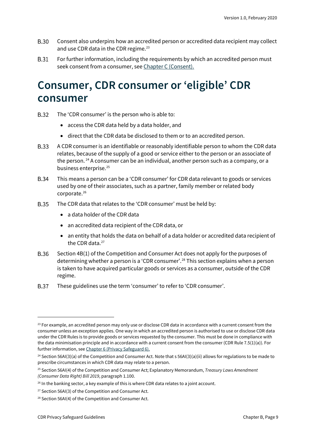- **B.30** Consent also underpins how an accredited person or accredited data recipient may collect and use CDR data in the CDR regime. [23](#page-8-1)
- **B.31** For further information, including the requirements by which an accredited person must seek consent from a consumer, see [Chapter C \(Consent\).](https://www.oaic.gov.au/consumer-data-right/cdr-privacy-safeguard-guidelines/chapter-c-consent-the-basis-for-collecting-and-using-cdr-data)

# <span id="page-8-0"></span>**Consumer, CDR consumer or 'eligible' CDR consumer**

- **B.32** The 'CDR consumer' is the person who is able to:
	- access the CDR data held by a data holder, and
	- direct that the CDR data be disclosed to them or to an accredited person.
- **B.33** A CDR consumer is an identifiable or reasonably identifiable person to whom the CDR data relates, because of the supply of a good or service either to the person or an associate of the person.<sup>[24](#page-8-2)</sup> A consumer can be an individual, another person such as a company, or a business enterprise.<sup>25</sup>
- **B.34** This means a person can be a 'CDR consumer' for CDR data relevant to goods or services used by one of their associates, such as a partner, family member or related body corporate. [26](#page-8-4)
- **B.35** The CDR data that relates to the 'CDR consumer' must be held by:
	- a data holder of the CDR data
	- an accredited data recipient of the CDR data, or
	- an entity that holds the data on behalf of a data holder or accredited data recipient of the CDR data.<sup>[27](#page-8-5)</sup>
- **B.36** Section 4B(1) of the Competition and Consumer Act does not apply for the purposes of determining whether a person is a 'CDR consumer'. [28](#page-8-6) This section explains when a person is taken to have acquired particular goods or services as a consumer, outside of the CDR regime.
- **B.37** These guidelines use the term 'consumer' to refer to 'CDR consumer'.

<span id="page-8-1"></span> $23$  For example, an accredited person may only use or disclose CDR data in accordance with a current consent from the consumer unless an exception applies. One way in which an accredited person is authorised to use or disclose CDR data under the CDR Rules is to provide goods or services requested by the consumer. This must be done in compliance with the data minimisation principle and in accordance with a current consent from the consumer (CDR Rule 7.5(1)(a)). For further information, se[e Chapter 6 \(Privacy Safeguard 6\).](https://www.oaic.gov.au/consumer-data-right/cdr-privacy-safeguard-guidelines/chapter-6-privacy-safeguard-6-use-or-disclosure-of-cdr-data-by-accredited-data-recipients-or-designated-gateways)

<span id="page-8-2"></span><sup>&</sup>lt;sup>24</sup> Section 56AI(3)(a) of the Competition and Consumer Act. Note that s 56AI(3)(a)(ii) allows for regulations to be made to prescribe circumstances in which CDR data may relate to a person.

<span id="page-8-3"></span><sup>25</sup> Section 56AI(4) of the Competition and Consumer Act; Explanatory Memorandum, *Treasury Laws Amendment (Consumer Data Right) Bill 2019*, paragraph 1.100.

<span id="page-8-4"></span><sup>&</sup>lt;sup>26</sup> In the banking sector, a key example of this is where CDR data relates to a joint account.

<span id="page-8-5"></span><sup>&</sup>lt;sup>27</sup> Section 56AI(3) of the Competition and Consumer Act.

<span id="page-8-6"></span><sup>28</sup> Section 56AI(4) of the Competition and Consumer Act.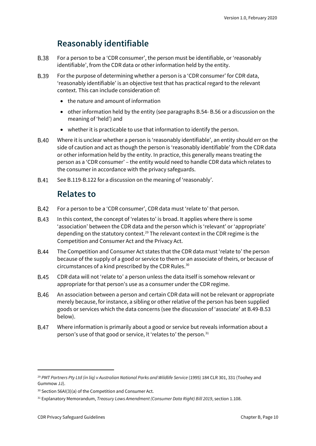## **Reasonably identifiable**

- <span id="page-9-0"></span>**B.38** For a person to be a 'CDR consumer', the person must be identifiable, or 'reasonably identifiable', from the CDR data or other information held by the entity.
- **B.39** For the purpose of determining whether a person is a 'CDR consumer' for CDR data, 'reasonably identifiable' is an objective test that has practical regard to the relevant context. This can include consideration of:
	- the nature and amount of information
	- other information held by the entity (see paragraphs B.54- B.56 or a discussion on the meaning of 'held') and
	- whether it is practicable to use that information to identify the person.
- **B.40** Where it is unclear whether a person is 'reasonably identifiable', an entity should err on the side of caution and act as though the person is 'reasonably identifiable' from the CDR data or other information held by the entity. In practice, this generally means treating the person as a 'CDR consumer' – the entity would need to handle CDR data which relates to the consumer in accordance with the privacy safeguards.
- <span id="page-9-1"></span>**B.41** See B.119-B.122 for a discussion on the meaning of 'reasonably'.

## **Relates to**

- **B.42** For a person to be a 'CDR consumer', CDR data must 'relate to' that person.
- **B.43** In this context, the concept of 'relates to' is broad. It applies where there is some 'association' between the CDR data and the person which is 'relevant' or 'appropriate' depending on the statutory context[.29](#page-9-2) The relevant context in the CDR regime is the Competition and Consumer Act and the Privacy Act.
- **B.44** The Competition and Consumer Act states that the CDR data must 'relate to' the person because of the supply of a good or service to them or an associate of theirs, or because of circumstances of a kind prescribed by the CDR Rules. [30](#page-9-3)
- **B.45** CDR data will not 'relate to' a person unless the data itself is somehow relevant or appropriate for that person's use as a consumer under the CDR regime.
- **B.46** An association between a person and certain CDR data will not be relevant or appropriate merely because, for instance, a sibling or other relative of the person has been supplied goods or services which the data concerns (see the discussion of 'associate' at B.49-B.53 below).
- **B.47** Where information is primarily about a good or service but reveals information about a person's use of that good or service, it 'relates to' the person.<sup>[31](#page-9-4)</sup>

<span id="page-9-2"></span><sup>&</sup>lt;sup>29</sup> PMT Partners Pty Ltd (in lig) v Australian National Parks and Wildlife Service (1995) 184 CLR 301, 331 (Toohey and Gummow JJ).

<span id="page-9-3"></span><sup>30</sup> Section 56AI(3)(a) of the Competition and Consumer Act.

<span id="page-9-4"></span><sup>31</sup> Explanatory Memorandum, *Treasury Laws Amendment (Consumer Data Right) Bill 2019*, section 1.108.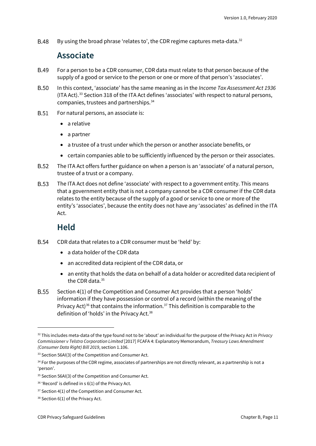<span id="page-10-0"></span>**B.48** By using the broad phrase 'relates to', the CDR regime captures meta-data.<sup>[32](#page-10-2)</sup>

### **Associate**

- **B.49** For a person to be a CDR consumer, CDR data must relate to that person because of the supply of a good or service to the person or one or more of that person's 'associates'.
- **B.50** In this context, 'associate' has the same meaning as in the *Income Tax Assessment Act 1936* (ITA Act).[33](#page-10-3) Section 318 of the ITA Act defines 'associates' with respect to natural persons, companies, trustees and partnerships.[34](#page-10-4)
- **B.51** For natural persons, an associate is:
	- a relative
	- a partner
	- a trustee of a trust under which the person or another associate benefits, or
	- certain companies able to be sufficiently influenced by the person or their associates.
- **B.52** The ITA Act offers further guidance on when a person is an 'associate' of a natural person, trustee of a trust or a company.
- **B.53** The ITA Act does not define 'associate' with respect to a government entity. This means that a government entity that is not a company cannot be a CDR consumer if the CDR data relates to the entity because of the supply of a good or service to one or more of the entity's 'associates', because the entity does not have any 'associates' as defined in the ITA Act.

## **Held**

- <span id="page-10-1"></span>**B.54** CDR data that relates to a CDR consumer must be 'held' by:
	- a data holder of the CDR data
	- an accredited data recipient of the CDR data, or
	- an entity that holds the data on behalf of a data holder or accredited data recipient of the CDR data.<sup>[35](#page-10-5)</sup>
- **B.55** Section 4(1) of the Competition and Consumer Act provides that a person 'holds' information if they have possession or control of a record (within the meaning of the Privacy Act)<sup>[36](#page-10-6)</sup> that contains the information.<sup>[37](#page-10-7)</sup> This definition is comparable to the definition of 'holds' in the Privacy Act. [38](#page-10-8)

<span id="page-10-2"></span><sup>32</sup> This includes meta-data of the type found not to be 'about' an individual for the purpose of the Privacy Act in *Privacy Commissioner v Telstra Corporation Limited* [2017] FCAFA 4: Explanatory Memorandum, *Treasury Laws Amendment (Consumer Data Right) Bill 2019*, section 1.106.

<span id="page-10-3"></span><sup>33</sup> Section 56AI(3) of the Competition and Consumer Act.

<span id="page-10-4"></span><sup>&</sup>lt;sup>34</sup> For the purposes of the CDR regime, associates of partnerships are not directly relevant, as a partnership is not a 'person'.

<span id="page-10-5"></span><sup>&</sup>lt;sup>35</sup> Section 56AI(3) of the Competition and Consumer Act.

<span id="page-10-6"></span><sup>&</sup>lt;sup>36</sup> 'Record' is defined in s 6(1) of the Privacy Act.

<span id="page-10-7"></span> $37$  Section 4(1) of the Competition and Consumer Act.

<span id="page-10-8"></span><sup>38</sup> Section 6(1) of the Privacy Act.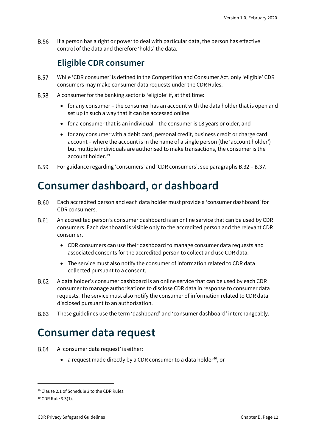<span id="page-11-0"></span>**B.56** If a person has a right or power to deal with particular data, the person has effective control of the data and therefore 'holds' the data.

## **Eligible CDR consumer**

- **B.57** While 'CDR consumer' is defined in the Competition and Consumer Act, only 'eligible' CDR consumers may make consumer data requests under the CDR Rules.
- **B.58** A consumer for the banking sector is 'eligible' if, at that time:
	- for any consumer the consumer has an account with the data holder that is open and set up in such a way that it can be accessed online
	- for a consumer that is an individual the consumer is 18 years or older, and
	- for any consumer with a debit card, personal credit, business credit or charge card account – where the account is in the name of a single person (the 'account holder') but multiple individuals are authorised to make transactions, the consumer is the account holder. [39](#page-11-3)
- For guidance regarding 'consumers' and 'CDR consumers', see paragraphs B.32 B.37. **B.59**

## <span id="page-11-1"></span>**Consumer dashboard, or dashboard**

- B.60 Each accredited person and each data holder must provide a 'consumer dashboard' for CDR consumers.
- B.61 An accredited person's consumer dashboard is an online service that can be used by CDR consumers. Each dashboard is visible only to the accredited person and the relevant CDR consumer.
	- CDR consumers can use their dashboard to manage consumer data requests and associated consents for the accredited person to collect and use CDR data.
	- The service must also notify the consumer of information related to CDR data collected pursuant to a consent.
- **B.62** A data holder's consumer dashboard is an online service that can be used by each CDR consumer to manage authorisations to disclose CDR data in response to consumer data requests. The service must also notify the consumer of information related to CDR data disclosed pursuant to an authorisation.
- B.63 These guidelines use the term 'dashboard' and 'consumer dashboard' interchangeably.

## <span id="page-11-2"></span>**Consumer data request**

- **B.64** A 'consumer data request' is either:
	- a request made directly by a CDR consumer to a data holder<sup>40</sup>, or

<span id="page-11-3"></span><sup>&</sup>lt;sup>39</sup> Clause 2.1 of Schedule 3 to the CDR Rules.

<span id="page-11-4"></span><sup>40</sup> CDR Rule 3.3(1).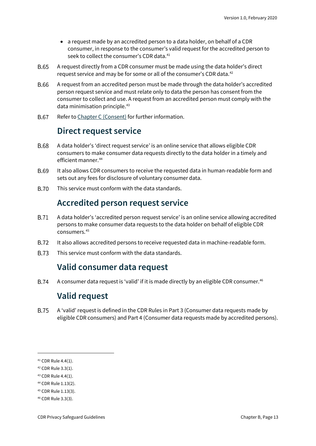- a request made by an accredited person to a data holder, on behalf of a CDR consumer, in response to the consumer's valid request for the accredited person to seek to collect the consumer's CDR data.<sup>[41](#page-12-4)</sup>
- **B.65** A request directly from a CDR consumer must be made using the data holder's direct request service and may be for some or all of the consumer's CDR data.[42](#page-12-5)
- **B.66** A request from an accredited person must be made through the data holder's accredited person request service and must relate only to data the person has consent from the consumer to collect and use. A request from an accredited person must comply with the data minimisation principle.<sup>[43](#page-12-6)</sup>
- <span id="page-12-0"></span>**B.67** Refer to [Chapter C](https://www.oaic.gov.au/consumer-data-right/cdr-privacy-safeguard-guidelines/chapter-c-consent-the-basis-for-collecting-and-using-cdr-data) (Consent) for further information.

## **Direct request service**

- **B.68** A data holder's 'direct request service' is an online service that allows eligible CDR consumers to make consumer data requests directly to the data holder in a timely and efficient manner.<sup>[44](#page-12-7)</sup>
- B.69 It also allows CDR consumers to receive the requested data in human-readable form and sets out any fees for disclosure of voluntary consumer data.
- <span id="page-12-1"></span>**B.70** This service must conform with the data standards.

## **Accredited person request service**

- **B.71** A data holder's 'accredited person request service' is an online service allowing accredited persons to make consumer data requests to the data holder on behalf of eligible CDR consumers.[45](#page-12-8)
- **B.72** It also allows accredited persons to receive requested data in machine-readable form.
- <span id="page-12-2"></span>**B.73** This service must conform with the data standards.

## **Valid consumer data request**

<span id="page-12-3"></span>**B.74** A consumer data request is 'valid' if it is made directly by an eligible CDR consumer.<sup>46</sup>

## **Valid request**

**B.75** A 'valid' request is defined in the CDR Rules in Part 3 (Consumer data requests made by eligible CDR consumers) and Part 4 (Consumer data requests made by accredited persons).

<span id="page-12-4"></span><sup>41</sup> CDR Rule 4.4(1).

<span id="page-12-5"></span><sup>42</sup> CDR Rule 3.3(1).

<span id="page-12-6"></span><sup>43</sup> CDR Rule 4.4(1).

<span id="page-12-7"></span><sup>44</sup> CDR Rule 1.13(2).

<span id="page-12-8"></span><sup>45</sup> CDR Rule 1.13(3).

<span id="page-12-9"></span><sup>46</sup> CDR Rule 3.3(3).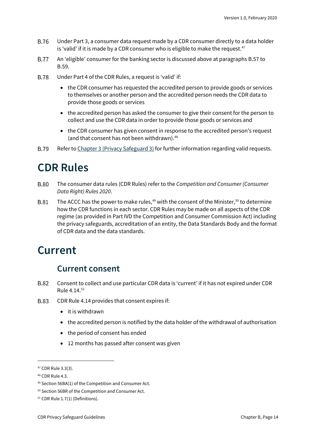- **B.76** Under Part 3, a consumer data request made by a CDR consumer directly to a data holder is 'valid' if it is made by a CDR consumer who is eligible to make the request.<sup>[47](#page-13-3)</sup>
- **B.77** An 'eligible' consumer for the banking sector is discussed above at paragraphs B.57 to B.59.
- **B.78** Under Part 4 of the CDR Rules, a request is 'valid' if:
	- the CDR consumer has requested the accredited person to provide goods or services to themselves or another person and the accredited person needs the CDR data to provide those goods or services
	- the accredited person has asked the consumer to give their consent for the person to collect and use the CDR data in order to provide those goods or services and
	- the CDR consumer has given consent in response to the accredited person's request (and that consent has not been withdrawn).<sup>[48](#page-13-4)</sup>
- Refer to [Chapter 3 \(Privacy](https://www.oaic.gov.au/consumer-data-right/cdr-privacy-safeguard-guidelines/chapter-3-privacy-safeguard-3-seeking-to-collect-cdr-data-from-cdr-participants) Safeguard 3) for further information regarding valid requests. **B.79**

## <span id="page-13-0"></span>**CDR Rules**

- **B.80** The consumer data rules (CDR Rules) refer to the *Competition and Consumer (Consumer Data Right) Rules 2020*.
- The ACCC has the power to make rules, $49$  with the consent of the Minister, $50$  to determine **B.81** how the CDR functions in each sector. CDR Rules may be made on all aspects of the CDR regime (as provided in Part IVD the Competition and Consumer Commission Act) including the privacy safeguards, accreditation of an entity, the Data Standards Body and the format of CDR data and the data standards.

## <span id="page-13-1"></span>**Current**

## **Current consent**

- <span id="page-13-2"></span>**B.82** Consent to collect and use particular CDR data is 'current' if it has not expired under CDR Rule 4.14.[51](#page-13-7)
- **B.83** CDR Rule 4.14 provides that consent expires if:
	- it is withdrawn
	- the accredited person is notified by the data holder of the withdrawal of authorisation
	- the period of consent has ended
	- 12 months has passed after consent was given

<span id="page-13-3"></span><sup>47</sup> CDR Rule 3.3(3).

<span id="page-13-4"></span><sup>48</sup> CDR Rule 4.3.

<span id="page-13-5"></span><sup>49</sup> Section 56BA(1) of the Competition and Consumer Act.

<span id="page-13-6"></span><sup>50</sup> Section 56BR of the Competition and Consumer Act.

<span id="page-13-7"></span><sup>51</sup> CDR Rule 1.7(1) (Definitions).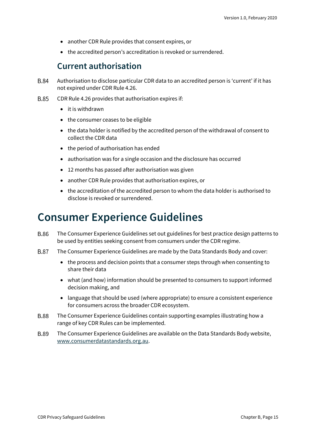- another CDR Rule provides that consent expires, or
- the accredited person's accreditation is revoked or surrendered.

#### **Current authorisation**

- <span id="page-14-0"></span>Authorisation to disclose particular CDR data to an accredited person is 'current' if it has **B.84** not expired under CDR Rule 4.26.
- CDR Rule 4.26 provides that authorisation expires if: **B.85** 
	- it is withdrawn
	- the consumer ceases to be eligible
	- the data holder is notified by the accredited person of the withdrawal of consent to collect the CDR data
	- the period of authorisation has ended
	- authorisation was for a single occasion and the disclosure has occurred
	- 12 months has passed after authorisation was given
	- another CDR Rule provides that authorisation expires, or
	- the accreditation of the accredited person to whom the data holder is authorised to disclose is revoked or surrendered.

## <span id="page-14-1"></span>**Consumer Experience Guidelines**

- **B.86** The Consumer Experience Guidelines set out guidelines for best practice design patterns to be used by entities seeking consent from consumers under the CDR regime.
- **B.87** The Consumer Experience Guidelines are made by the Data Standards Body and cover:
	- the process and decision points that a consumer steps through when consenting to share their data
	- what (and how) information should be presented to consumers to support informed decision making, and
	- language that should be used (where appropriate) to ensure a consistent experience for consumers across the broader CDR ecosystem.
- **B.88** The Consumer Experience Guidelines contain supporting examples illustrating how a range of key CDR Rules can be implemented.
- **B.89** The Consumer Experience Guidelines are available on the Data Standards Body website, [www.consumerdatastandards.org.au.](http://www.consumerdatastandards.org.au/)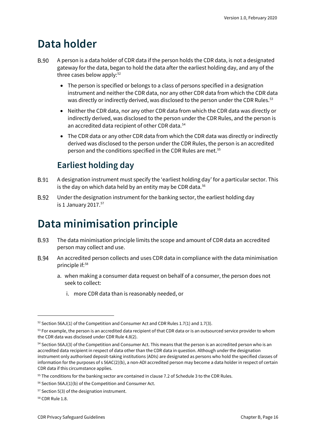# <span id="page-15-0"></span>**Data holder**

- **B.90** A person is a data holder of CDR data if the person holds the CDR data, is not a designated gateway for the data, began to hold the data after the earliest holding day, and any of the three cases below apply: $52$ 
	- The person is specified or belongs to a class of persons specified in a designation instrument and neither the CDR data, nor any other CDR data from which the CDR data was directly or indirectly derived, was disclosed to the person under the CDR Rules.<sup>[53](#page-15-4)</sup>
	- Neither the CDR data, nor any other CDR data from which the CDR data was directly or indirectly derived, was disclosed to the person under the CDR Rules, and the person is an accredited data recipient of other CDR data.<sup>[54](#page-15-5)</sup>
	- The CDR data or any other CDR data from which the CDR data was directly or indirectly derived was disclosed to the person under the CDR Rules, the person is an accredited person and the conditions specified in the CDR Rules are met.<sup>[55](#page-15-6)</sup>

## **Earliest holding day**

- <span id="page-15-1"></span>A designation instrument must specify the 'earliest holding day' for a particular sector. This **B.91** is the day on which data held by an entity may be CDR data.<sup>[56](#page-15-7)</sup>
- B.92 Under the designation instrument for the banking sector, the earliest holding day is 1 January 2017. $57$

# <span id="page-15-2"></span>**Data minimisation principle**

- **B.93** The data minimisation principle limits the scope and amount of CDR data an accredited person may collect and use.
- **B.94** An accredited person collects and uses CDR data in compliance with the data minimisation principle if:<sup>[58](#page-15-9)</sup>
	- a. when making a consumer data request on behalf of a consumer, the person does not seek to collect:
		- i. more CDR data than is reasonably needed, or

<span id="page-15-3"></span> $52$  Section 56AJ(1) of the Competition and Consumer Act and CDR Rules 1.7(1) and 1.7(3).

<span id="page-15-4"></span><sup>&</sup>lt;sup>53</sup> For example, the person is an accredited data recipient of that CDR data or is an outsourced service provider to whom the CDR data was disclosed under CDR Rule 4.8(2).

<span id="page-15-5"></span><sup>54</sup> Section 56AJ(3) of the Competition and Consumer Act. This means that the person is an accredited person who is an accredited data recipient in respect of data other than the CDR data in question. Although under the designation instrument only authorised deposit-taking institutions (ADIs) are designated as persons who hold the specified classes of information for the purposes of s 56AC(2)(b), a non-ADI accredited person may become a data holder in respect of certain CDR data if this circumstance applies.

<span id="page-15-6"></span><sup>&</sup>lt;sup>55</sup> The conditions for the banking sector are contained in clause 7.2 of Schedule 3 to the CDR Rules.

<span id="page-15-7"></span> $56$  Section 56AJ(1)(b) of the Competition and Consumer Act.

<span id="page-15-8"></span><sup>57</sup> Section 5(3) of the designation instrument.

<span id="page-15-9"></span><sup>58</sup> CDR Rule 1.8.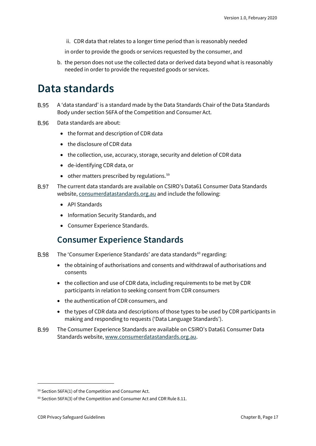ii. CDR data that relates to a longer time period than is reasonably needed

in order to provide the goods or services requested by the consumer, and

b. the person does not use the collected data or derived data beyond what is reasonably needed in order to provide the requested goods or services.

## <span id="page-16-0"></span>**Data standards**

- **B.95** A 'data standard' is a standard made by the Data Standards Chair of the Data Standards Body under section 56FA of the Competition and Consumer Act.
- **B.96** Data standards are about:
	- the format and description of CDR data
	- the disclosure of CDR data
	- the collection, use, accuracy, storage, security and deletion of CDR data
	- de-identifying CDR data, or
	- $\bullet$  other matters prescribed by regulations.<sup>[59](#page-16-2)</sup>
- **B.97** The current data standards are available on CSIRO's Data61 Consumer Data Standards website[, consumerdatastandards.org.au](https://consumerdatastandards.org.au/) and include the following:
	- API Standards
	- Information Security Standards, and
	- Consumer Experience Standards.

#### **Consumer Experience Standards**

- <span id="page-16-1"></span>The 'Consumer Experience Standards' are data standards<sup>[60](#page-16-3)</sup> regarding: **B.98** 
	- the obtaining of authorisations and consents and withdrawal of authorisations and consents
	- the collection and use of CDR data, including requirements to be met by CDR participants in relation to seeking consent from CDR consumers
	- the authentication of CDR consumers, and
	- the types of CDR data and descriptions of those types to be used by CDR participants in making and responding to requests ('Data Language Standards').
- The Consumer Experience Standards are available on CSIRO's Data61 Consumer Data **B.99** Standards website[, www.consumerdatastandards.org.au.](http://www.consumerdatastandards.org.au/)

<span id="page-16-2"></span><sup>59</sup> Section 56FA(1) of the Competition and Consumer Act.

<span id="page-16-3"></span> $60$  Section 56FA(3) of the Competition and Consumer Act and CDR Rule 8.11.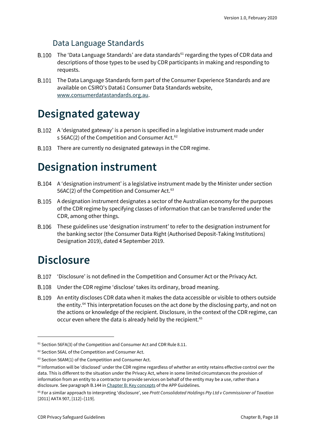### Data Language Standards

- B.100 The 'Data Language Standards' are data standards<sup>[61](#page-17-3)</sup> regarding the types of CDR data and descriptions of those types to be used by CDR participants in making and responding to requests.
- The Data Language Standards form part of the Consumer Experience Standards and are available on CSIRO's Data61 Consumer Data Standards website, [www.consumerdatastandards.org.au.](http://www.consumerdatastandards.org.au/)

## <span id="page-17-0"></span>**Designated gateway**

- A 'designated gateway' is a person is specified in a legislative instrument made under s 56AC(2) of the Competition and Consumer Act.<sup>[62](#page-17-4)</sup>
- B.103 There are currently no designated gateways in the CDR regime.

# <span id="page-17-1"></span>**Designation instrument**

- A 'designation instrument' is a legislative instrument made by the Minister under section 56AC(2) of the Competition and Consumer Act.<sup>[63](#page-17-5)</sup>
- A designation instrument designates a sector of the Australian economy for the purposes of the CDR regime by specifying classes of information that can be transferred under the CDR, among other things.
- These guidelines use 'designation instrument' to refer to the designation instrument for the banking sector (the Consumer Data Right (Authorised Deposit-Taking Institutions) Designation 2019), dated 4 September 2019.

# <span id="page-17-2"></span>**Disclosure**

- 'Disclosure' is not defined in the Competition and Consumer Act or the Privacy Act.
- Under the CDR regime 'disclose' takes its ordinary, broad meaning.
- An entity discloses CDR data when it makes the data accessible or visible to others outside the entity. [64](#page-17-6) This interpretation focuses on the act done by the disclosing party, and not on the actions or knowledge of the recipient. Disclosure, in the context of the CDR regime, can occur even where the data is already held by the recipient.<sup>[65](#page-17-7)</sup>

<span id="page-17-3"></span><sup>&</sup>lt;sup>61</sup> Section 56FA(3) of the Competition and Consumer Act and CDR Rule 8.11.

<span id="page-17-4"></span><sup>62</sup> Section 56AL of the Competition and Consumer Act.

<span id="page-17-5"></span><sup>63</sup> Section 56AM(1) of the Competition and Consumer Act.

<span id="page-17-6"></span><sup>64</sup> Information will be 'disclosed' under the CDR regime regardless of whether an entity retains effective control over the data. This is different to the situation under the Privacy Act, where in some limited circumstances the provision of information from an entity to a contractor to provide services on behalf of the entity may be a use, rather than a disclosure. See paragraph B.144 i[n Chapter B: Key concepts](https://www.oaic.gov.au/privacy/australian-privacy-principles-guidelines/chapter-b-key-concepts/#use) of the APP Guidelines.

<span id="page-17-7"></span><sup>65</sup> For a similar approach to interpreting 'disclosure', see *Pratt Consolidated Holdings Pty Ltd v Commissioner of Taxation*  [2011] AATA 907, [112]–[119].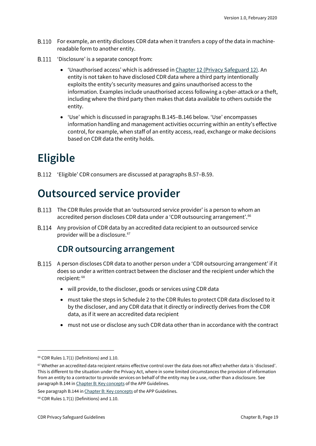- B.110 For example, an entity discloses CDR data when it transfers a copy of the data in machinereadable form to another entity.
- B.111 'Disclosure' is a separate concept from:
	- 'Unauthorised access' which is addressed i[n Chapter 12 \(Privacy Safeguard 12\).](https://www.oaic.gov.au/consumer-data-right/cdr-privacy-safeguard-guidelines/chapter-12-privacy-safeguard-12-security-of-cdr-data-and-destruction-of-de-identification-of-redundant-cdr-data) An entity is not taken to have disclosed CDR data where a third party intentionally exploits the entity's security measures and gains unauthorised access to the information. Examples include unauthorised access following a cyber-attackor a theft, including where the third party then makes that data available to others outside the entity.
	- 'Use' which is discussed in paragraphs B.145–B.146 below. 'Use' encompasses information handling and management activities occurring within an entity's effective control, for example, when staff of an entity access, read, exchange or make decisions based on CDR data the entity holds.

# <span id="page-18-0"></span>**Eligible**

'Eligible' CDR consumers are discussed at paragraphs B.57–B.59.

# <span id="page-18-1"></span>**Outsourced service provider**

- The CDR Rules provide that an 'outsourced service provider' is a person to whom an accredited person discloses CDR data under a 'CDR outsourcing arrangement'.<sup>[66](#page-18-3)</sup>
- <span id="page-18-2"></span>Any provision of CDR data by an accredited data recipient to an outsourced service provider will be a disclosure. [67](#page-18-4)

### **CDR outsourcing arrangement**

- A person discloses CDR data to another person under a 'CDR outsourcing arrangement' if it does so under a written contract between the discloser and the recipient under which the recipient: [68](#page-18-5)
	- will provide, to the discloser, goods or services using CDR data
	- must take the steps in Schedule 2 to the CDR Rules to protect CDR data disclosed to it by the discloser, and any CDR data that it directly or indirectly derives from the CDR data, as if it were an accredited data recipient
	- must not use or disclose any such CDR data other than in accordance with the contract

<span id="page-18-3"></span> $66$  CDR Rules 1.7(1) (Definitions) and 1.10.

<span id="page-18-4"></span><sup>67</sup> Whether an accredited data recipient retains effective control over the data does not affect whether data is 'disclosed'. This is different to the situation under the Privacy Act, where in some limited circumstances the provision of information from an entity to a contractor to provide services on behalf of the entity may be a use, rather than a disclosure. See paragraph B.144 i[n Chapter B: Key concepts](https://www.oaic.gov.au/privacy/australian-privacy-principles-guidelines/chapter-b-key-concepts/#use) of the APP Guidelines.

See paragraph B.144 i[n Chapter B: Key concepts](https://www.oaic.gov.au/privacy/australian-privacy-principles-guidelines/chapter-b-key-concepts/#use) of the APP Guidelines.

<span id="page-18-5"></span> $68$  CDR Rules 1.7(1) (Definitions) and 1.10.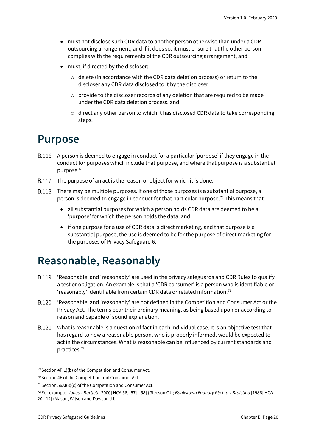- must not disclose such CDR data to another person otherwise than under a CDR outsourcing arrangement, and if it does so, it must ensure that the other person complies with the requirements of the CDR outsourcing arrangement, and
- must, if directed by the discloser:
	- o delete (in accordance with the CDR data deletion process) or return to the discloser any CDR data disclosed to it by the discloser
	- o provide to the discloser records of any deletion that are required to be made under the CDR data deletion process, and
	- $\circ$  direct any other person to which it has disclosed CDR data to take corresponding steps.

## <span id="page-19-0"></span>**Purpose**

- A person is deemed to engage in conduct for a particular 'purpose' if they engage in the conduct for purposes which include that purpose, and where that purpose is a substantial purpose.<sup>[69](#page-19-2)</sup>
- B.117 The purpose of an act is the reason or object for which it is done.
- There may be multiple purposes. If one of those purposes is a substantial purpose, a person is deemed to engage in conduct for that particular purpose.<sup>[70](#page-19-3)</sup> This means that:
	- all substantial purposes for which a person holds CDR data are deemed to be a 'purpose' for which the person holds the data, and
	- if one purpose for a use of CDR data is direct marketing, and that purpose is a substantial purpose, the use is deemed to be for the purpose of direct marketing for the purposes of Privacy Safeguard 6.

## <span id="page-19-1"></span>**Reasonable, Reasonably**

- B.119 'Reasonable' and 'reasonably' are used in the privacy safeguards and CDR Rules to qualify a test or obligation. An example is that a 'CDR consumer' is a person who is identifiable or 'reasonably' identifiable from certain CDR data or related information.<sup>[71](#page-19-4)</sup>
- 'Reasonable' and 'reasonably' are not defined in the Competition and Consumer Act or the Privacy Act. The terms bear their ordinary meaning, as being based upon or according to reason and capable of sound explanation.
- What is reasonable is a question of fact in each individual case. It is an objective test that has regard to how a reasonable person, who is properly informed, would be expected to act in the circumstances. What is reasonable can be influenced by current standards and practices.[72](#page-19-5)

<span id="page-19-2"></span> $69$  Section 4F(1)(b) of the Competition and Consumer Act.

<span id="page-19-3"></span><sup>70</sup> Section 4F of the Competition and Consumer Act.

<span id="page-19-4"></span><sup>&</sup>lt;sup>71</sup> Section 56AI(3)(c) of the Competition and Consumer Act.

<span id="page-19-5"></span><sup>72</sup> For example, *Jones v Bartlett* [2000] HCA 56, [57]–[58] (Gleeson CJ); *Bankstown Foundry Pty Ltd v Braistina* [1986] HCA 20, [12] (Mason, Wilson and Dawson JJ).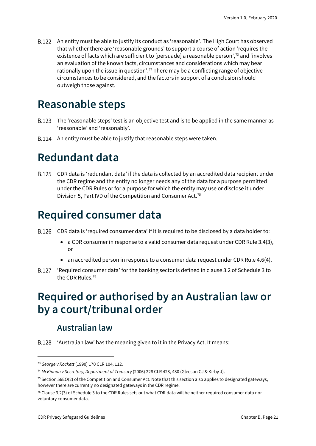An entity must be able to justify its conduct as 'reasonable'. The High Court has observed that whether there are 'reasonable grounds' to support a course of action 'requires the existence of facts which are sufficient to [persuade] a reasonable person',[73](#page-20-5) and 'involves an evaluation of the known facts, circumstances and considerations which may bear rationally upon the issue in question'.<sup>[74](#page-20-6)</sup> There may be a conflicting range of objective circumstances to be considered, and the factors in support of a conclusion should outweigh those against.

# <span id="page-20-0"></span>**Reasonable steps**

- B.123 The 'reasonable steps' test is an objective test and is to be applied in the same manner as 'reasonable' and 'reasonably'.
- B.124 An entity must be able to justify that reasonable steps were taken.

# <span id="page-20-1"></span>**Redundant data**

CDR data is 'redundant data' if the data is collected by an accredited data recipient under the CDR regime and the entity no longer needs any of the data for a purpose permitted under the CDR Rules or for a purpose for which the entity may use or disclose it under Division 5, Part IVD of the Competition and Consumer Act.[75](#page-20-7)

# <span id="page-20-2"></span>**Required consumer data**

- CDR data is 'required consumer data' if it is required to be disclosed by a data holder to:
	- a CDR consumer in response to a valid consumer data request under CDR Rule 3.4(3), or
	- an accredited person in response to a consumer data request under CDR Rule 4.6(4).
- 'Required consumer data' for the banking sector is defined in clause 3.2 of Schedule 3 to the CDR Rules.<sup>[76](#page-20-8)</sup>

# <span id="page-20-3"></span>**Required or authorised by an Australian law or by a court/tribunal order**

## **Australian law**

<span id="page-20-4"></span>B.128 'Australian law' has the meaning given to it in the Privacy Act. It means:

<span id="page-20-5"></span><sup>73</sup> *George v Rockett* (1990) 170 CLR 104, 112.

<span id="page-20-6"></span><sup>74</sup> *McKinnon v Secretary, Department of Treasury* (2006) 228 CLR 423, 430 (Gleeson CJ & Kirby J).

<span id="page-20-7"></span> $75$  Section 56EO(2) of the Competition and Consumer Act. Note that this section also applies to designated gateways, however there are currently no designated gateways in the CDR regime.

<span id="page-20-8"></span> $76$  Clause 3.2(3) of Schedule 3 to the CDR Rules sets out what CDR data will be neither required consumer data nor voluntary consumer data.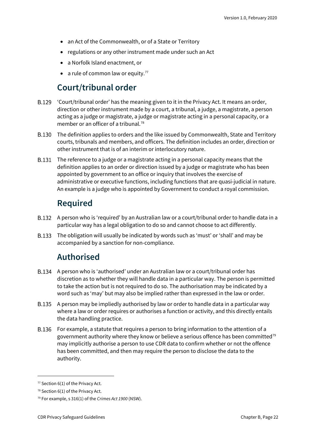- an Act of the Commonwealth, or of a State or Territory
- regulations or any other instrument made under such an Act
- a Norfolk Island enactment, or
- a rule of common law or equity.<sup>[77](#page-21-3)</sup>

## **Court/tribunal order**

- <span id="page-21-0"></span>'Court/tribunal order' has the meaning given to it in the Privacy Act. It means an order, direction or other instrument made by a court, a tribunal, a judge, a magistrate, a person acting as a judge or magistrate, a judge or magistrate acting in a personal capacity, or a member or an officer of a tribunal.<sup>[78](#page-21-4)</sup>
- The definition applies to orders and the like issued by Commonwealth, State and Territory courts, tribunals and members, and officers. The definition includes an order, direction or other instrument that is of an interim or interlocutory nature.
- The reference to a judge or a magistrate acting in a personal capacity means that the definition applies to an order or direction issued by a judge or magistrate who has been appointed by government to an office or inquiry that involves the exercise of administrative or executive functions, including functions that are quasi-judicial in nature. An example is a judge who is appointed by Government to conduct a royal commission.

### **Required**

- <span id="page-21-1"></span>B.132 A person who is 'required' by an Australian law or a court/tribunal order to handle data in a particular way has a legal obligation to do so and cannot choose to act differently.
- <span id="page-21-2"></span>The obligation will usually be indicated by words such as 'must' or 'shall' and may be accompanied by a sanction for non-compliance.

## **Authorised**

- A person who is 'authorised' under an Australian law or a court/tribunal order has discretion as to whether they will handle data in a particular way. The person is permitted to take the action but is not required to do so. The authorisation may be indicated by a word such as 'may' but may also be implied rather than expressed in the law or order.
- A person may be impliedly authorised by law or order to handle data in a particular way where a law or order requires or authorises a function or activity, and this directly entails the data handling practice.
- For example, a statute that requires a person to bring information to the attention of a government authority where they know or believe a serious offence has been committed<sup>[79](#page-21-5)</sup> may implicitly authorise a person to use CDR data to confirm whether or not the offence has been committed, and then may require the person to disclose the data to the authority.

<span id="page-21-3"></span> $77$  Section 6(1) of the Privacy Act.

<span id="page-21-4"></span> $78$  Section 6(1) of the Privacy Act.

<span id="page-21-5"></span><sup>79</sup> For example, s 316(1) of the *Crimes Act 1900* (NSW).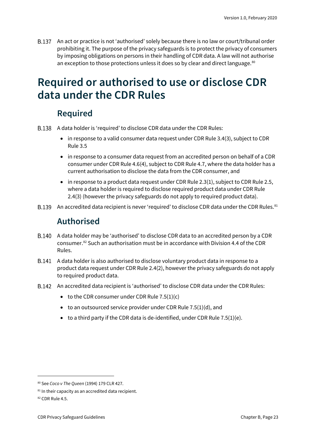B.137 An act or practice is not 'authorised' solely because there is no law or court/tribunal order prohibiting it. The purpose of the privacy safeguards is to protect the privacy of consumers by imposing obligations on persons in their handling of CDR data. A law will not authorise an exception to those protections unless it does so by clear and direct language.<sup>80</sup>

## <span id="page-22-0"></span>**Required or authorised to use or disclose CDR data under the CDR Rules**

## **Required**

- <span id="page-22-1"></span>A data holder is 'required' to disclose CDR data under the CDR Rules:
	- in response to a valid consumer data request under CDR Rule 3.4(3), subject to CDR Rule 3.5
	- in response to a consumer data request from an accredited person on behalf of a CDR consumer under CDR Rule 4.6(4), subject to CDR Rule 4.7, where the data holder has a current authorisation to disclose the data from the CDR consumer, and
	- in response to a product data request under CDR Rule 2.3(1), subject to CDR Rule 2.5, where a data holder is required to disclose required product data under CDR Rule 2.4(3) (however the privacy safeguards do not apply to required product data).
- <span id="page-22-2"></span>B.139 An accredited data recipient is never 'required' to disclose CDR data under the CDR Rules.<sup>[81](#page-22-4)</sup>

#### **Authorised**

- A data holder may be 'authorised' to disclose CDR data to an accredited person by a CDR consumer.[82](#page-22-5) Such an authorisation must be in accordance with Division 4.4 of the CDR Rules.
- A data holder is also authorised to disclose voluntary product data in response to a product data request under CDR Rule 2.4(2), however the privacy safeguards do not apply to required product data.
- An accredited data recipient is 'authorised' to disclose CDR data under the CDR Rules:
	- to the CDR consumer under CDR Rule  $7.5(1)(c)$
	- to an outsourced service provider under CDR Rule  $7.5(1)(d)$ , and
	- $\bullet$  to a third party if the CDR data is de-identified, under CDR Rule 7.5(1)(e).

<span id="page-22-3"></span><sup>80</sup> See *Coco v The Queen* (1994) 179 CLR 427.

<span id="page-22-4"></span><sup>81</sup> In their capacity as an accredited data recipient.

<span id="page-22-5"></span><sup>82</sup> CDR Rule 4.5.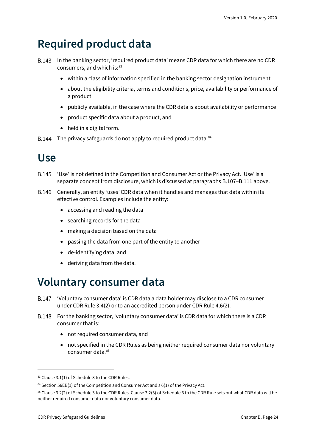# <span id="page-23-0"></span>**Required product data**

- B.143 In the banking sector, 'required product data' means CDR data for which there are no CDR consumers, and which is:<sup>[83](#page-23-3)</sup>
	- within a class of information specified in the banking sector designation instrument
	- about the eligibility criteria, terms and conditions, price, availability or performance of a product
	- publicly available, in the case where the CDR data is about availability or performance
	- product specific data about a product, and
	- held in a digital form.
- B.144 The privacy safeguards do not apply to required product data. [84](#page-23-4)

# <span id="page-23-1"></span>**Use**

- B.145 'Use' is not defined in the Competition and Consumer Act or the Privacy Act. 'Use' is a separate concept from disclosure, which is discussed at paragraphs B.107–B.111 above.
- Generally, an entity 'uses' CDR data when it handles and manages that data within its effective control. Examples include the entity:
	- accessing and reading the data
	- searching records for the data
	- making a decision based on the data
	- passing the data from one part of the entity to another
	- de-identifying data, and
	- deriving data from the data.

# <span id="page-23-2"></span>**Voluntary consumer data**

- **B.147** 'Voluntary consumer data' is CDR data a data holder may disclose to a CDR consumer under CDR Rule 3.4(2) or to an accredited person under CDR Rule 4.6(2).
- **B.148** For the banking sector, 'voluntary consumer data' is CDR data for which there is a CDR consumer that is:
	- not required consumer data, and
	- not specified in the CDR Rules as being neither required consumer data nor voluntary consumer data. [85](#page-23-5)

<span id="page-23-3"></span><sup>83</sup> Clause 3.1(1) of Schedule 3 to the CDR Rules.

<span id="page-23-4"></span> $84$  Section 56EB(1) of the Competition and Consumer Act and s 6(1) of the Privacy Act.

<span id="page-23-5"></span><sup>85</sup> Clause 3.2(2) of Schedule 3 to the CDR Rules. Clause 3.2(3) of Schedule 3 to the CDR Rule sets out what CDR data will be neither required consumer data nor voluntary consumer data.